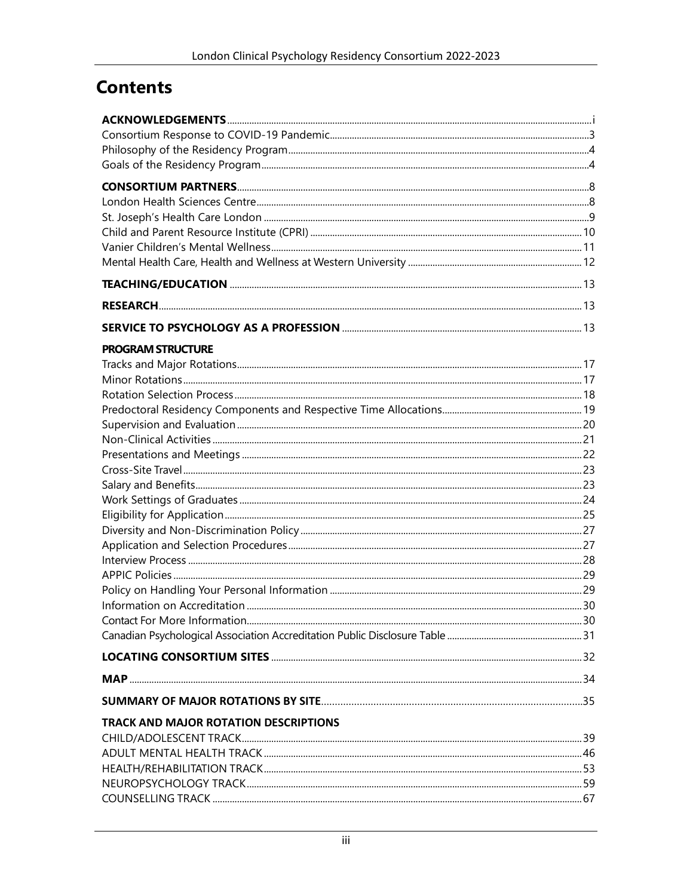## **Contents**

| <b>PROGRAM STRUCTURE</b>                     |  |
|----------------------------------------------|--|
|                                              |  |
|                                              |  |
|                                              |  |
|                                              |  |
|                                              |  |
|                                              |  |
|                                              |  |
|                                              |  |
|                                              |  |
|                                              |  |
|                                              |  |
|                                              |  |
|                                              |  |
|                                              |  |
|                                              |  |
|                                              |  |
|                                              |  |
|                                              |  |
|                                              |  |
|                                              |  |
|                                              |  |
| <b>TRACK AND MAJOR ROTATION DESCRIPTIONS</b> |  |
|                                              |  |
|                                              |  |
|                                              |  |
|                                              |  |
|                                              |  |